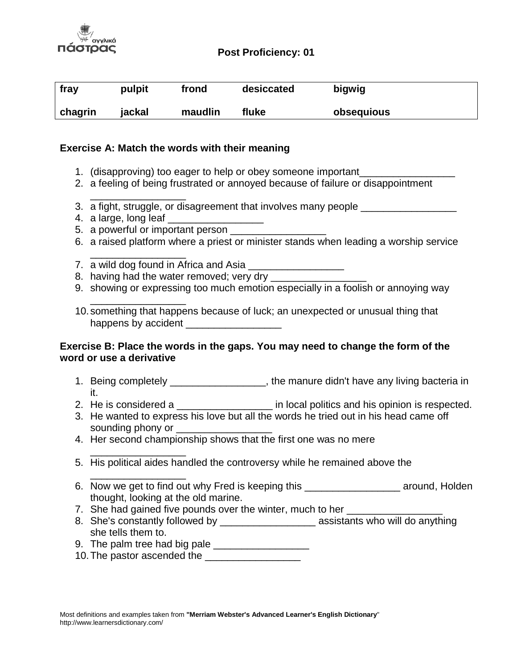

# **Post Proficiency: 01**

| fray    | pulpit | frond   | desiccated | bigwig     |
|---------|--------|---------|------------|------------|
| chagrin | jackal | maudlin | fluke      | obsequious |

# **Exercise A: Match the words with their meaning**

- 1. (disapproving) too eager to help or obey someone important\_\_\_\_\_\_\_\_\_\_\_\_\_\_\_\_\_
- 2. a feeling of being frustrated or annoyed because of failure or disappointment
- \_\_\_\_\_\_\_\_\_\_\_\_\_\_\_\_\_ 3. a fight, struggle, or disagreement that involves many people
- 4. a large, long leaf
- 5. a powerful or important person \_\_\_\_\_\_\_\_\_\_\_\_\_\_\_\_\_
- 6. a raised platform where a priest or minister stands when leading a worship service
- \_\_\_\_\_\_\_\_\_\_\_\_\_\_\_\_\_ 7. a wild dog found in Africa and Asia

\_\_\_\_\_\_\_\_\_\_\_\_\_\_\_\_\_

\_\_\_\_\_\_\_\_\_\_\_\_\_\_\_\_\_

- 8. having had the water removed; very dry
- 9. showing or expressing too much emotion especially in a foolish or annoying way
- 10.something that happens because of luck; an unexpected or unusual thing that happens by accident **Exercise 20**

# **Exercise B: Place the words in the gaps. You may need to change the form of the word or use a derivative**

- 1. Being completely **1.** Seting completely the manure didn't have any living bacteria in it.
- 2. He is considered a zero in local politics and his opinion is respected.
- 3. He wanted to express his love but all the words he tried out in his head came off sounding phony or \_
- 4. Her second championship shows that the first one was no mere
- \_\_\_\_\_\_\_\_\_\_\_\_\_\_\_\_\_ 5. His political aides handled the controversy while he remained above the
- 6. Now we get to find out why Fred is keeping this \_\_\_\_\_\_\_\_\_\_\_\_\_\_\_\_\_ around, Holden thought, looking at the old marine.
- 7. She had gained five pounds over the winter, much to her
- 8. She's constantly followed by assistants who will do anything she tells them to.
- 9. The palm tree had big pale \_\_\_\_\_\_\_\_\_\_\_\_\_\_\_\_\_
- 10. The pastor ascended the